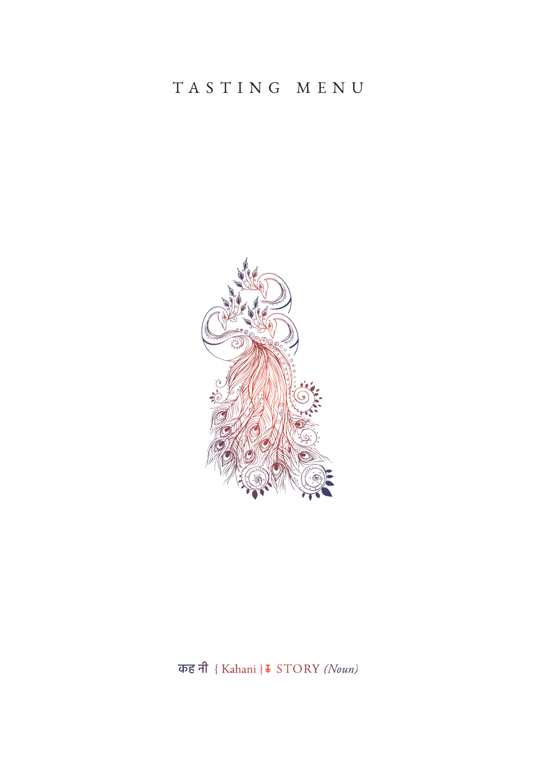## TASTING MENU



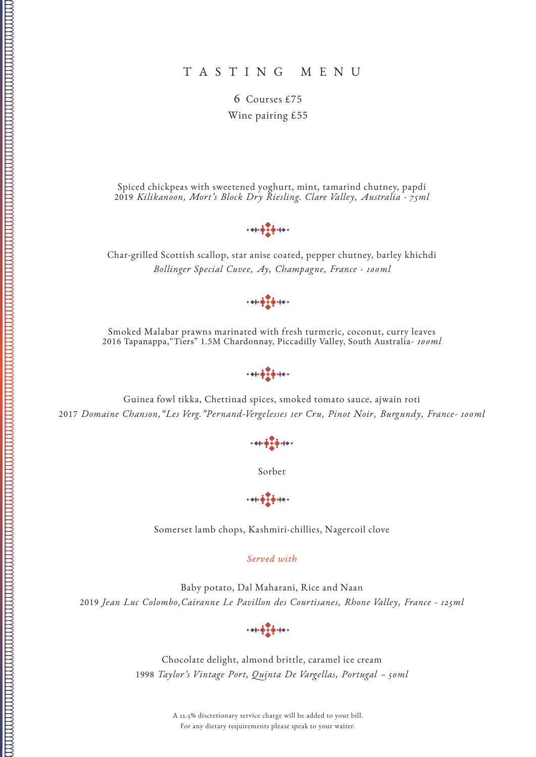6 Courses £75 Wine pairing £55

Spiced chickpeas with sweetened yoghurt, mint, tamarind chutney, papdi 2019 *Kilikanoon, Mort's Block Dry Riesling. Clare Valley, Australia - 75ml*

 $+41.47 + 14.$ 

Char-grilled Scottish scallop, star anise coated, pepper chutney, barley khichdi *Bollinger Special Cuvee, Ay, Champagne, France - 100ml*

 $+ + + + + +$ 

Smoked Malabar prawns marinated with fresh turmeric, coconut, curry leaves 2016 Tapanappa,"Tiers" 1.5M Chardonnay, Piccadilly Valley, South Australia*- 100ml*

 $+ + + +$ 

Guinea fowl tikka, Chettinad spices, smoked tomato sauce, ajwain roti 2017 *Domaine Chanson,"Les Verg."Pernand-Vergelesses 1er Cru, Pinot Noir, Burgundy, France- 100ml*

 $+41 + \frac{1}{2} + 14 +$ 

Sorbet

 $+41.47 + 14.$ 

Somerset lamb chops, Kashmiri-chillies, Nagercoil clove

*Served with*

Baby potato, Dal Maharani, Rice and Naan 2019 *Jean Luc Colombo,Cairanne Le Pavillon des Courtisanes, Rhone Valley, France - 125ml*



Chocolate delight, almond brittle, caramel ice cream 1998 *Taylor's Vintage Port, Quinta De Vargellas, Portugal – 50ml*

> A 12.5% discretionary service charge will be added to your bill. For any dietary requirements please speak to your waiter.